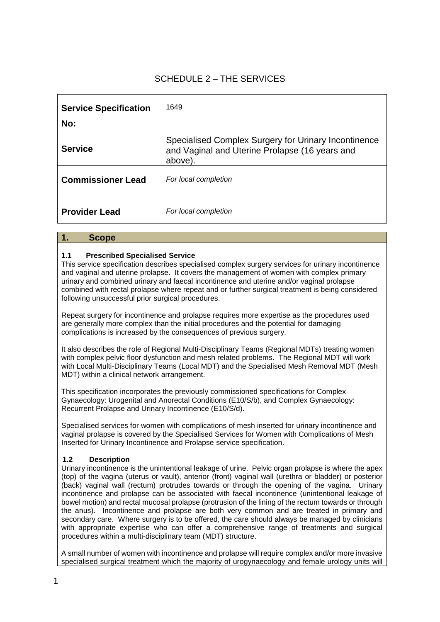# SCHEDULE 2 – THE SERVICES

| <b>Service Specification</b><br>No: | 1649                                                                                                              |
|-------------------------------------|-------------------------------------------------------------------------------------------------------------------|
| <b>Service</b>                      | Specialised Complex Surgery for Urinary Incontinence<br>and Vaginal and Uterine Prolapse (16 years and<br>above). |
| <b>Commissioner Lead</b>            | For local completion                                                                                              |
| <b>Provider Lead</b>                | For local completion                                                                                              |

# **1. Scope**

# **1.1 Prescribed Specialised Service**

This service specification describes specialised complex surgery services for urinary incontinence and vaginal and uterine prolapse. It covers the management of women with complex primary urinary and combined urinary and faecal incontinence and uterine and/or vaginal prolapse combined with rectal prolapse where repeat and or further surgical treatment is being considered following unsuccessful prior surgical procedures.

Repeat surgery for incontinence and prolapse requires more expertise as the procedures used are generally more complex than the initial procedures and the potential for damaging complications is increased by the consequences of previous surgery.

It also describes the role of Regional Multi-Disciplinary Teams (Regional MDTs) treating women with complex pelvic floor dysfunction and mesh related problems. The Regional MDT will work with Local Multi-Disciplinary Teams (Local MDT) and the Specialised Mesh Removal MDT (Mesh MDT) within a clinical network arrangement.

This specification incorporates the previously commissioned specifications for Complex Gynaecology: Urogenital and Anorectal Conditions (E10/S/b), and Complex Gynaecology: Recurrent Prolapse and Urinary Incontinence (E10/S/d).

Specialised services for women with complications of mesh inserted for urinary incontinence and vaginal prolapse is covered by the Specialised Services for Women with Complications of Mesh Inserted for Urinary Incontinence and Prolapse service specification.

# **1.2 Description**

Urinary incontinence is the unintentional leakage of urine. Pelvic organ prolapse is where the apex (top) of the vagina (uterus or vault), anterior (front) vaginal wall (urethra or bladder) or posterior (back) vaginal wall (rectum) protrudes towards or through the opening of the vagina. Urinary incontinence and prolapse can be associated with faecal incontinence (unintentional leakage of bowel motion) and rectal mucosal prolapse (protrusion of the lining of the rectum towards or through the anus). Incontinence and prolapse are both very common and are treated in primary and secondary care. Where surgery is to be offered, the care should always be managed by clinicians with appropriate expertise who can offer a comprehensive range of treatments and surgical procedures within a multi-disciplinary team (MDT) structure.

A small number of women with incontinence and prolapse will require complex and/or more invasive specialised surgical treatment which the majority of urogynaecology and female urology units will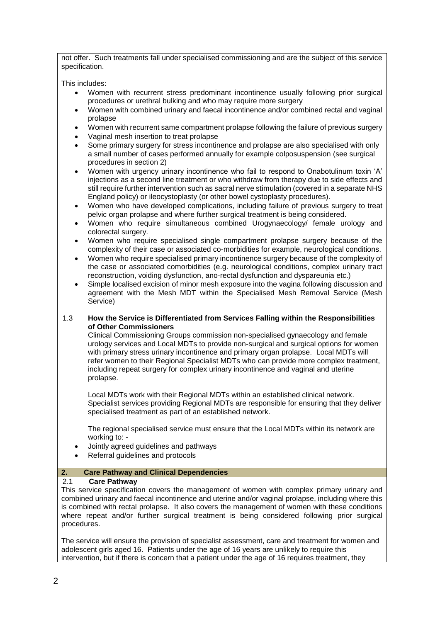not offer. Such treatments fall under specialised commissioning and are the subject of this service specification.

This includes:

- Women with recurrent stress predominant incontinence usually following prior surgical procedures or urethral bulking and who may require more surgery
- Women with combined urinary and faecal incontinence and/or combined rectal and vaginal prolapse
- Women with recurrent same compartment prolapse following the failure of previous surgery
- Vaginal mesh insertion to treat prolapse
- Some primary surgery for stress incontinence and prolapse are also specialised with only a small number of cases performed annually for example colposuspension (see surgical procedures in section 2)
- Women with urgency urinary incontinence who fail to respond to Onabotulinum toxin 'A' injections as a second line treatment or who withdraw from therapy due to side effects and still require further intervention such as sacral nerve stimulation (covered in a separate NHS England policy) or ileocystoplasty (or other bowel cystoplasty procedures).
- Women who have developed complications, including failure of previous surgery to treat pelvic organ prolapse and where further surgical treatment is being considered.
- Women who require simultaneous combined Urogynaecology/ female urology and colorectal surgery.
- Women who require specialised single compartment prolapse surgery because of the complexity of their case or associated co-morbidities for example, neurological conditions.
- Women who require specialised primary incontinence surgery because of the complexity of the case or associated comorbidities (e.g. neurological conditions, complex urinary tract reconstruction, voiding dysfunction, ano-rectal dysfunction and dyspareunia etc.)
- Simple localised excision of minor mesh exposure into the vagina following discussion and agreement with the Mesh MDT within the Specialised Mesh Removal Service (Mesh Service)

# 1.3 **How the Service is Differentiated from Services Falling within the Responsibilities of Other Commissioners**

Clinical Commissioning Groups commission non-specialised gynaecology and female urology services and Local MDTs to provide non-surgical and surgical options for women with primary stress urinary incontinence and primary organ prolapse. Local MDTs will refer women to their Regional Specialist MDTs who can provide more complex treatment, including repeat surgery for complex urinary incontinence and vaginal and uterine prolapse.

Local MDTs work with their Regional MDTs within an established clinical network. Specialist services providing Regional MDTs are responsible for ensuring that they deliver specialised treatment as part of an established network.

The regional specialised service must ensure that the Local MDTs within its network are working to: -

- Jointly agreed guidelines and pathways
- Referral guidelines and protocols

# **2. Care Pathway and Clinical Dependencies**

# 2.1 **Care Pathway**

This service specification covers the management of women with complex primary urinary and combined urinary and faecal incontinence and uterine and/or vaginal prolapse, including where this is combined with rectal prolapse. It also covers the management of women with these conditions where repeat and/or further surgical treatment is being considered following prior surgical procedures.

The service will ensure the provision of specialist assessment, care and treatment for women and adolescent girls aged 16. Patients under the age of 16 years are unlikely to require this intervention, but if there is concern that a patient under the age of 16 requires treatment, they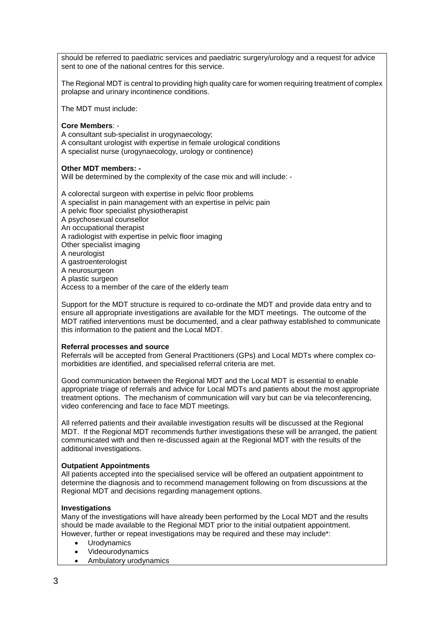should be referred to paediatric services and paediatric surgery/urology and a request for advice sent to one of the national centres for this service.

The Regional MDT is central to providing high quality care for women requiring treatment of complex prolapse and urinary incontinence conditions.

The MDT must include:

### **Core Members**: -

A consultant sub-specialist in urogynaecology;

A consultant urologist with expertise in female urological conditions

A specialist nurse (urogynaecology, urology or continence)

#### **Other MDT members: -**

Will be determined by the complexity of the case mix and will include: -

A colorectal surgeon with expertise in pelvic floor problems

- A specialist in pain management with an expertise in pelvic pain
- A pelvic floor specialist physiotherapist
- A psychosexual counsellor
- An occupational therapist
- A radiologist with expertise in pelvic floor imaging
- Other specialist imaging
- A neurologist
- A gastroenterologist
- A neurosurgeon
- A plastic surgeon

Access to a member of the care of the elderly team

Support for the MDT structure is required to co-ordinate the MDT and provide data entry and to ensure all appropriate investigations are available for the MDT meetings. The outcome of the MDT ratified interventions must be documented, and a clear pathway established to communicate this information to the patient and the Local MDT.

#### **Referral processes and source**

Referrals will be accepted from General Practitioners (GPs) and Local MDTs where complex comorbidities are identified, and specialised referral criteria are met.

Good communication between the Regional MDT and the Local MDT is essential to enable appropriate triage of referrals and advice for Local MDTs and patients about the most appropriate treatment options. The mechanism of communication will vary but can be via teleconferencing, video conferencing and face to face MDT meetings.

All referred patients and their available investigation results will be discussed at the Regional MDT. If the Regional MDT recommends further investigations these will be arranged, the patient communicated with and then re-discussed again at the Regional MDT with the results of the additional investigations.

# **Outpatient Appointments**

All patients accepted into the specialised service will be offered an outpatient appointment to determine the diagnosis and to recommend management following on from discussions at the Regional MDT and decisions regarding management options.

# **Investigations**

Many of the investigations will have already been performed by the Local MDT and the results should be made available to the Regional MDT prior to the initial outpatient appointment. However, further or repeat investigations may be required and these may include\*:

- **Urodynamics**
- Videourodynamics
- Ambulatory urodynamics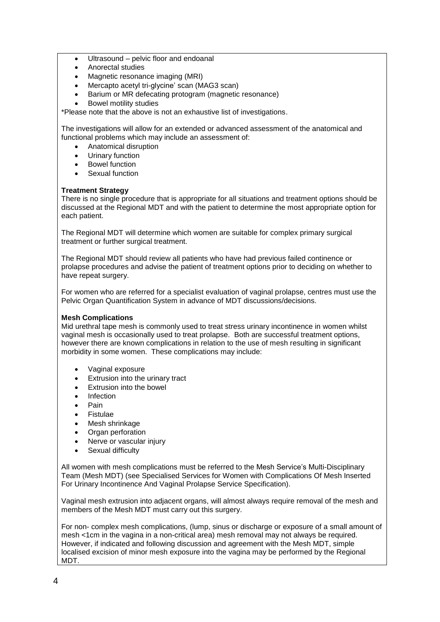- Ultrasound pelvic floor and endoanal
- Anorectal studies
- Magnetic resonance imaging (MRI)
- Mercapto acetyl tri-glycine' scan (MAG3 scan)
- Barium or MR defecating protogram (magnetic resonance)
- Bowel motility studies

\*Please note that the above is not an exhaustive list of investigations.

The investigations will allow for an extended or advanced assessment of the anatomical and functional problems which may include an assessment of:

- Anatomical disruption
- Urinary function
- Bowel function
- Sexual function

# **Treatment Strategy**

There is no single procedure that is appropriate for all situations and treatment options should be discussed at the Regional MDT and with the patient to determine the most appropriate option for each patient.

The Regional MDT will determine which women are suitable for complex primary surgical treatment or further surgical treatment.

The Regional MDT should review all patients who have had previous failed continence or prolapse procedures and advise the patient of treatment options prior to deciding on whether to have repeat surgery.

For women who are referred for a specialist evaluation of vaginal prolapse, centres must use the Pelvic Organ Quantification System in advance of MDT discussions/decisions.

# **Mesh Complications**

Mid urethral tape mesh is commonly used to treat stress urinary incontinence in women whilst vaginal mesh is occasionally used to treat prolapse. Both are successful treatment options, however there are known complications in relation to the use of mesh resulting in significant morbidity in some women. These complications may include:

- Vaginal exposure
- Extrusion into the urinary tract
- Extrusion into the bowel
- **Infection**
- Pain
- **Fistulae**
- Mesh shrinkage
- Organ perforation
- Nerve or vascular injury
- Sexual difficulty

All women with mesh complications must be referred to the Mesh Service's Multi-Disciplinary Team (Mesh MDT) (see Specialised Services for Women with Complications Of Mesh Inserted For Urinary Incontinence And Vaginal Prolapse Service Specification).

Vaginal mesh extrusion into adjacent organs, will almost always require removal of the mesh and members of the Mesh MDT must carry out this surgery.

For non- complex mesh complications, (lump, sinus or discharge or exposure of a small amount of mesh <1cm in the vagina in a non-critical area) mesh removal may not always be required. However, if indicated and following discussion and agreement with the Mesh MDT, simple localised excision of minor mesh exposure into the vagina may be performed by the Regional MDT.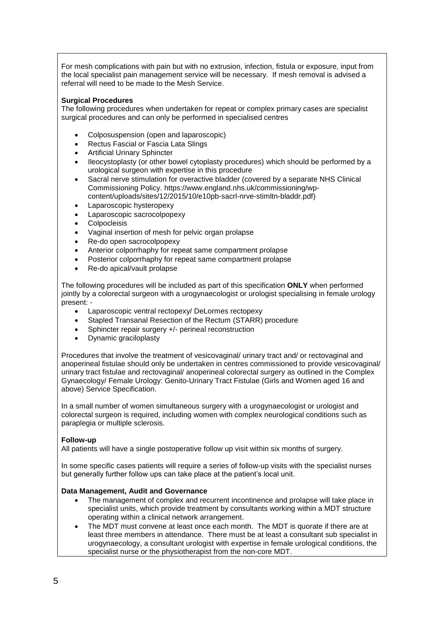For mesh complications with pain but with no extrusion, infection, fistula or exposure, input from the local specialist pain management service will be necessary. If mesh removal is advised a referral will need to be made to the Mesh Service.

# **Surgical Procedures**

The following procedures when undertaken for repeat or complex primary cases are specialist surgical procedures and can only be performed in specialised centres

- Colposuspension (open and laparoscopic)
- Rectus Fascial or Fascia Lata Slings
- Artificial Urinary Sphincter
- Ileocystoplasty (or other bowel cytoplasty procedures) which should be performed by a urological surgeon with expertise in this procedure
- Sacral nerve stimulation for overactive bladder (covered by a separate NHS Clinical Commissioning Policy. https://www.england.nhs.uk/commissioning/wpcontent/uploads/sites/12/2015/10/e10pb-sacrl-nrve-stimltn-bladdr.pdf)
- Laparoscopic hysteropexy
- Laparoscopic sacrocolpopexy
- **Colpocleisis**
- Vaginal insertion of mesh for pelvic organ prolapse
- Re-do open sacrocolpopexy
- Anterior colporrhaphy for repeat same compartment prolapse
- Posterior colporrhaphy for repeat same compartment prolapse
- Re-do apical/vault prolapse

The following procedures will be included as part of this specification **ONLY** when performed jointly by a colorectal surgeon with a urogynaecologist or urologist specialising in female urology present: -

- Laparoscopic ventral rectopexy/ DeLormes rectopexy
- Stapled Transanal Resection of the Rectum (STARR) procedure
- Sphincter repair surgery +/- perineal reconstruction
- Dynamic graciloplasty

Procedures that involve the treatment of vesicovaginal/ urinary tract and/ or rectovaginal and anoperineal fistulae should only be undertaken in centres commissioned to provide vesicovaginal/ urinary tract fistulae and rectovaginal/ anoperineal colorectal surgery as outlined in the Complex Gynaecology/ Female Urology: Genito-Urinary Tract Fistulae (Girls and Women aged 16 and above) Service Specification.

In a small number of women simultaneous surgery with a urogynaecologist or urologist and colorectal surgeon is required, including women with complex neurological conditions such as paraplegia or multiple sclerosis.

#### **Follow-up**

All patients will have a single postoperative follow up visit within six months of surgery.

In some specific cases patients will require a series of follow-up visits with the specialist nurses but generally further follow ups can take place at the patient's local unit.

#### **Data Management, Audit and Governance**

- The management of complex and recurrent incontinence and prolapse will take place in specialist units, which provide treatment by consultants working within a MDT structure operating within a clinical network arrangement.
- The MDT must convene at least once each month. The MDT is quorate if there are at least three members in attendance. There must be at least a consultant sub specialist in urogynaecology, a consultant urologist with expertise in female urological conditions, the specialist nurse or the physiotherapist from the non-core MDT.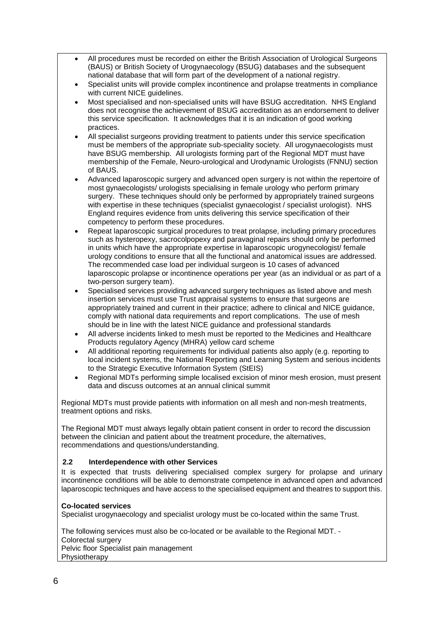- All procedures must be recorded on either the British Association of Urological Surgeons (BAUS) or British Society of Urogynaecology (BSUG) databases and the subsequent national database that will form part of the development of a national registry.
- Specialist units will provide complex incontinence and prolapse treatments in compliance with current NICE quidelines.
- Most specialised and non-specialised units will have BSUG accreditation. NHS England does not recognise the achievement of BSUG accreditation as an endorsement to deliver this service specification. It acknowledges that it is an indication of good working practices.
- All specialist surgeons providing treatment to patients under this service specification must be members of the appropriate sub-speciality society. All urogynaecologists must have BSUG membership. All urologists forming part of the Regional MDT must have membership of the Female, Neuro-urological and Urodynamic Urologists (FNNU) section of BAUS.
- Advanced laparoscopic surgery and advanced open surgery is not within the repertoire of most gynaecologists/ urologists specialising in female urology who perform primary surgery. These techniques should only be performed by appropriately trained surgeons with expertise in these techniques (specialist gynaecologist / specialist urologist). NHS England requires evidence from units delivering this service specification of their competency to perform these procedures.
- Repeat laparoscopic surgical procedures to treat prolapse, including primary procedures such as hysteropexy, sacrocolpopexy and paravaginal repairs should only be performed in units which have the appropriate expertise in laparoscopic urogynecologist/ female urology conditions to ensure that all the functional and anatomical issues are addressed. The recommended case load per individual surgeon is 10 cases of advanced laparoscopic prolapse or incontinence operations per year (as an individual or as part of a two-person surgery team).
- Specialised services providing advanced surgery techniques as listed above and mesh insertion services must use Trust appraisal systems to ensure that surgeons are appropriately trained and current in their practice; adhere to clinical and NICE guidance, comply with national data requirements and report complications. The use of mesh should be in line with the latest NICE guidance and professional standards
- All adverse incidents linked to mesh must be reported to the Medicines and Healthcare Products regulatory Agency (MHRA) yellow card scheme
- All additional reporting requirements for individual patients also apply (e.g. reporting to local incident systems, the National Reporting and Learning System and serious incidents to the Strategic Executive Information System (StEIS)
- Regional MDTs performing simple localised excision of minor mesh erosion, must present data and discuss outcomes at an annual clinical summit

Regional MDTs must provide patients with information on all mesh and non-mesh treatments, treatment options and risks.

The Regional MDT must always legally obtain patient consent in order to record the discussion between the clinician and patient about the treatment procedure, the alternatives, recommendations and questions/understanding.

# **2.2 Interdependence with other Services**

It is expected that trusts delivering specialised complex surgery for prolapse and urinary incontinence conditions will be able to demonstrate competence in advanced open and advanced laparoscopic techniques and have access to the specialised equipment and theatres to support this.

# **Co-located services**

Specialist urogynaecology and specialist urology must be co-located within the same Trust.

The following services must also be co-located or be available to the Regional MDT. - Colorectal surgery Pelvic floor Specialist pain management Physiotherapy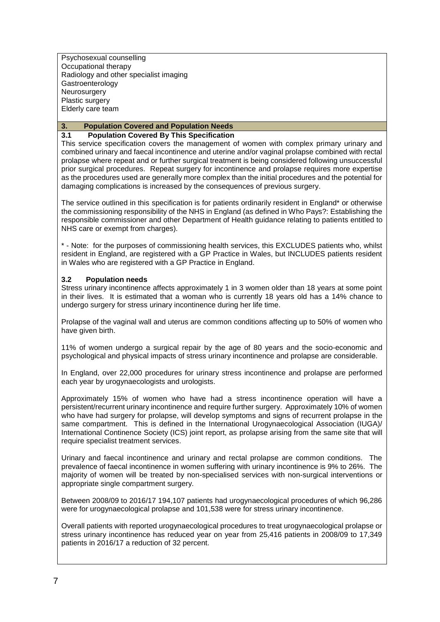Psychosexual counselling Occupational therapy Radiology and other specialist imaging Gastroenterology **Neurosurgery** Plastic surgery Elderly care team

# **3. Population Covered and Population Needs**

# **3.1 Population Covered By This Specification**

This service specification covers the management of women with complex primary urinary and combined urinary and faecal incontinence and uterine and/or vaginal prolapse combined with rectal prolapse where repeat and or further surgical treatment is being considered following unsuccessful prior surgical procedures. Repeat surgery for incontinence and prolapse requires more expertise as the procedures used are generally more complex than the initial procedures and the potential for damaging complications is increased by the consequences of previous surgery.

The service outlined in this specification is for patients ordinarily resident in England\* or otherwise the commissioning responsibility of the NHS in England (as defined in Who Pays?: Establishing the responsible commissioner and other Department of Health guidance relating to patients entitled to NHS care or exempt from charges).

\* - Note: for the purposes of commissioning health services, this EXCLUDES patients who, whilst resident in England, are registered with a GP Practice in Wales, but INCLUDES patients resident in Wales who are registered with a GP Practice in England.

# **3.2 Population needs**

Stress urinary incontinence affects approximately 1 in 3 women older than 18 years at some point in their lives. It is estimated that a woman who is currently 18 years old has a 14% chance to undergo surgery for stress urinary incontinence during her life time.

Prolapse of the vaginal wall and uterus are common conditions affecting up to 50% of women who have given birth.

11% of women undergo a surgical repair by the age of 80 years and the socio-economic and psychological and physical impacts of stress urinary incontinence and prolapse are considerable.

In England, over 22,000 procedures for urinary stress incontinence and prolapse are performed each year by urogynaecologists and urologists.

Approximately 15% of women who have had a stress incontinence operation will have a persistent/recurrent urinary incontinence and require further surgery. Approximately 10% of women who have had surgery for prolapse, will develop symptoms and signs of recurrent prolapse in the same compartment. This is defined in the International Urogynaecological Association (IUGA)/ International Continence Society (ICS) joint report, as prolapse arising from the same site that will require specialist treatment services.

Urinary and faecal incontinence and urinary and rectal prolapse are common conditions. The prevalence of faecal incontinence in women suffering with urinary incontinence is 9% to 26%. The majority of women will be treated by non-specialised services with non-surgical interventions or appropriate single compartment surgery.

Between 2008/09 to 2016/17 194,107 patients had urogynaecological procedures of which 96,286 were for urogynaecological prolapse and 101,538 were for stress urinary incontinence.

Overall patients with reported urogynaecological procedures to treat urogynaecological prolapse or stress urinary incontinence has reduced year on year from 25,416 patients in 2008/09 to 17,349 patients in 2016/17 a reduction of 32 percent.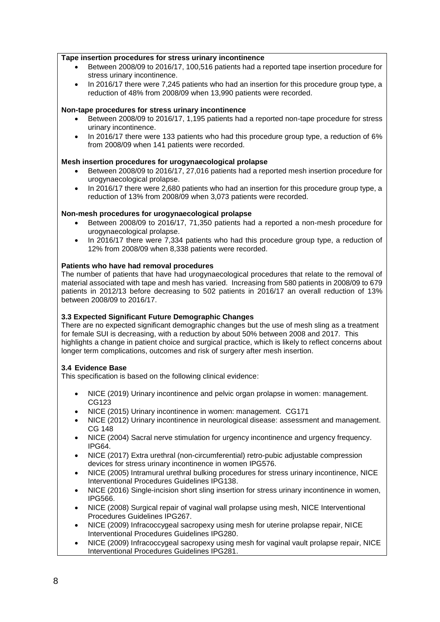### **Tape insertion procedures for stress urinary incontinence**

- Between 2008/09 to 2016/17, 100,516 patients had a reported tape insertion procedure for stress urinary incontinence.
- In 2016/17 there were 7,245 patients who had an insertion for this procedure group type, a reduction of 48% from 2008/09 when 13,990 patients were recorded.

### **Non-tape procedures for stress urinary incontinence**

- Between 2008/09 to 2016/17, 1,195 patients had a reported non-tape procedure for stress urinary incontinence.
- In 2016/17 there were 133 patients who had this procedure group type, a reduction of 6% from 2008/09 when 141 patients were recorded.

### **Mesh insertion procedures for urogynaecological prolapse**

- Between 2008/09 to 2016/17, 27,016 patients had a reported mesh insertion procedure for urogynaecological prolapse.
- In 2016/17 there were 2,680 patients who had an insertion for this procedure group type, a reduction of 13% from 2008/09 when 3,073 patients were recorded.

### **Non-mesh procedures for urogynaecological prolapse**

- Between 2008/09 to 2016/17, 71,350 patients had a reported a non-mesh procedure for urogynaecological prolapse.
- In 2016/17 there were 7,334 patients who had this procedure group type, a reduction of 12% from 2008/09 when 8,338 patients were recorded.

### **Patients who have had removal procedures**

The number of patients that have had urogynaecological procedures that relate to the removal of material associated with tape and mesh has varied. Increasing from 580 patients in 2008/09 to 679 patients in 2012/13 before decreasing to 502 patients in 2016/17 an overall reduction of 13% between 2008/09 to 2016/17.

# **3.3 Expected Significant Future Demographic Changes**

There are no expected significant demographic changes but the use of mesh sling as a treatment for female SUI is decreasing, with a reduction by about 50% between 2008 and 2017. This highlights a change in patient choice and surgical practice, which is likely to reflect concerns about longer term complications, outcomes and risk of surgery after mesh insertion.

# **3.4 Evidence Base**

This specification is based on the following clinical evidence:

- NICE (2019) Urinary incontinence and pelvic organ prolapse in women: management. CG123
- NICE (2015) Urinary incontinence in women: management. CG171
- NICE (2012) Urinary incontinence in neurological disease: assessment and management. CG 148
- NICE (2004) Sacral nerve stimulation for urgency incontinence and urgency frequency. IPG64.
- NICE (2017) Extra urethral (non-circumferential) retro-pubic adjustable compression devices for stress urinary incontinence in women IPG576.
- NICE (2005) Intramural urethral bulking procedures for stress urinary incontinence, NICE Interventional Procedures Guidelines IPG138.
- NICE (2016) Single-incision short sling insertion for stress urinary incontinence in women, IPG566.
- NICE (2008) Surgical repair of vaginal wall prolapse using mesh, NICE Interventional Procedures Guidelines IPG267.
- NICE (2009) Infracoccygeal sacropexy using mesh for uterine prolapse repair, NICE Interventional Procedures Guidelines IPG280.
- NICE (2009) Infracoccygeal sacropexy using mesh for vaginal vault prolapse repair, NICE Interventional Procedures Guidelines IPG281.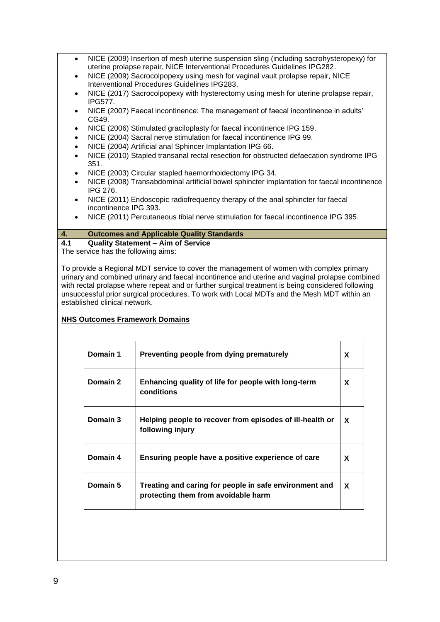- NICE (2009) Insertion of mesh uterine suspension sling (including sacrohysteropexy) for uterine prolapse repair, NICE Interventional Procedures Guidelines IPG282.
- NICE (2009) Sacrocolpopexy using mesh for vaginal vault prolapse repair, NICE Interventional Procedures Guidelines IPG283.
- NICE (2017) Sacrocolpopexy with hysterectomy using mesh for uterine prolapse repair, IPG577.
- NICE (2007) Faecal incontinence: The management of faecal incontinence in adults' CG49.
- NICE (2006) Stimulated graciloplasty for faecal incontinence IPG 159.
- NICE (2004) Sacral nerve stimulation for faecal incontinence IPG 99.
- NICE (2004) Artificial anal Sphincer Implantation IPG 66.
- NICE (2010) Stapled transanal rectal resection for obstructed defaecation syndrome IPG 351.
- NICE (2003) Circular stapled haemorrhoidectomy IPG 34.
- NICE (2008) Transabdominal artificial bowel sphincter implantation for faecal incontinence IPG 276.
- NICE (2011) Endoscopic radiofrequency therapy of the anal sphincter for faecal incontinence IPG 393.
- NICE (2011) Percutaneous tibial nerve stimulation for faecal incontinence IPG 395.

### **4. Outcomes and Applicable Quality Standards**

**4.1 Quality Statement – Aim of Service** The service has the following aims:

To provide a Regional MDT service to cover the management of women with complex primary urinary and combined urinary and faecal incontinence and uterine and vaginal prolapse combined with rectal prolapse where repeat and or further surgical treatment is being considered following unsuccessful prior surgical procedures. To work with Local MDTs and the Mesh MDT within an established clinical network.

# **NHS Outcomes Framework Domains**

| Domain 1 | Preventing people from dying prematurely                                                      | X |
|----------|-----------------------------------------------------------------------------------------------|---|
| Domain 2 | Enhancing quality of life for people with long-term<br>conditions                             | X |
| Domain 3 | Helping people to recover from episodes of ill-health or<br>following injury                  | X |
| Domain 4 | Ensuring people have a positive experience of care                                            | X |
| Domain 5 | Treating and caring for people in safe environment and<br>protecting them from avoidable harm | X |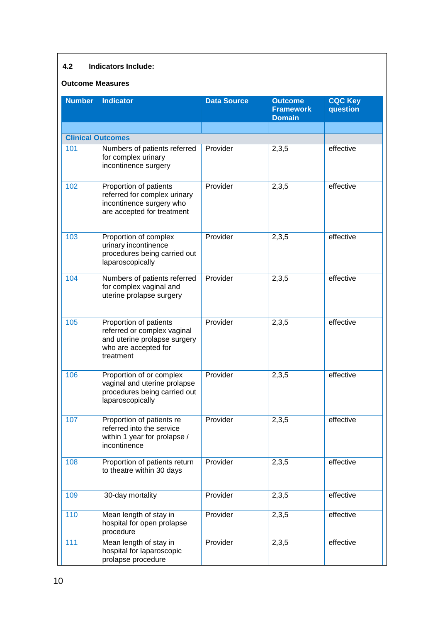# **4.2 Indicators Include:**

### **Outcome Measures**

| <b>Number</b> | <b>Indicator</b>                                                                                                           | <b>Data Source</b> | <b>Outcome</b><br><b>Framework</b><br><b>Domain</b> | <b>CQC Key</b><br>question |
|---------------|----------------------------------------------------------------------------------------------------------------------------|--------------------|-----------------------------------------------------|----------------------------|
|               | <b>Clinical Outcomes</b>                                                                                                   |                    |                                                     |                            |
| 101           | Numbers of patients referred<br>for complex urinary<br>incontinence surgery                                                | Provider           | 2,3,5                                               | effective                  |
| 102           | Proportion of patients<br>referred for complex urinary<br>incontinence surgery who<br>are accepted for treatment           | Provider           | 2,3,5                                               | effective                  |
| 103           | Proportion of complex<br>urinary incontinence<br>procedures being carried out<br>laparoscopically                          | Provider           | 2,3,5                                               | effective                  |
| 104           | Numbers of patients referred<br>for complex vaginal and<br>uterine prolapse surgery                                        | Provider           | 2,3,5                                               | effective                  |
| 105           | Proportion of patients<br>referred or complex vaginal<br>and uterine prolapse surgery<br>who are accepted for<br>treatment | Provider           | 2,3,5                                               | effective                  |
| 106           | Proportion of or complex<br>vaginal and uterine prolapse<br>procedures being carried out<br>laparoscopically               | Provider           | 2,3,5                                               | effective                  |
| 107           | Proportion of patients re<br>referred into the service<br>within 1 year for prolapse /<br>incontinence                     | Provider           | 2,3,5                                               | effective                  |
| 108           | Proportion of patients return<br>to theatre within 30 days                                                                 | Provider           | 2,3,5                                               | effective                  |
| 109           | 30-day mortality                                                                                                           | Provider           | 2,3,5                                               | effective                  |
| 110           | Mean length of stay in<br>hospital for open prolapse<br>procedure                                                          | Provider           | 2,3,5                                               | effective                  |
| 111           | Mean length of stay in<br>hospital for laparoscopic<br>prolapse procedure                                                  | Provider           | 2,3,5                                               | effective                  |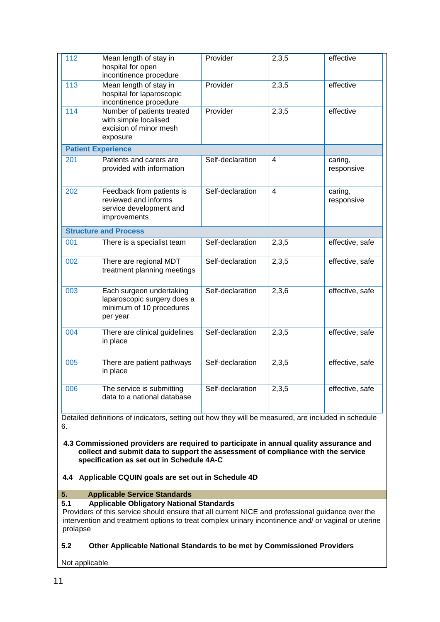| 112               | Mean length of stay in<br>hospital for open<br>incontinence procedure                           | Provider         | 2,3,5                    | effective             |
|-------------------|-------------------------------------------------------------------------------------------------|------------------|--------------------------|-----------------------|
| $\frac{113}{113}$ | Mean length of stay in<br>hospital for laparoscopic<br>incontinence procedure                   | Provider         | 2,3,5                    | effective             |
| 114               | Number of patients treated<br>with simple localised<br>excision of minor mesh<br>exposure       | Provider         | 2,3,5                    | effective             |
|                   | <b>Patient Experience</b>                                                                       |                  |                          |                       |
| 201               | Patients and carers are<br>provided with information                                            | Self-declaration | 4                        | caring,<br>responsive |
| 202               | Feedback from patients is<br>reviewed and informs<br>service development and<br>improvements    | Self-declaration | $\overline{\mathcal{L}}$ | caring,<br>responsive |
|                   | <b>Structure and Process</b>                                                                    |                  |                          |                       |
| 001               | There is a specialist team                                                                      | Self-declaration | 2,3,5                    | effective, safe       |
| 002               | There are regional MDT<br>treatment planning meetings                                           | Self-declaration | 2,3,5                    | effective, safe       |
| 003               | Each surgeon undertaking<br>laparoscopic surgery does a<br>minimum of 10 procedures<br>per year | Self-declaration | 2,3,6                    | effective, safe       |
| 004               | There are clinical guidelines<br>in place                                                       | Self-declaration | 2,3,5                    | effective, safe       |
| 005               | There are patient pathways<br>in place                                                          | Self-declaration | 2,3,5                    | effective, safe       |
| 006               | The service is submitting                                                                       | Self-declaration | 2,3,5                    | effective, safe       |

**4.3 Commissioned providers are required to participate in annual quality assurance and collect and submit data to support the assessment of compliance with the service specification as set out in Schedule 4A-C**

# **4.4 Applicable CQUIN goals are set out in Schedule 4D**

**5. Applicable Service Standards**

# **5.1 Applicable Obligatory National Standards**

Providers of this service should ensure that all current NICE and professional guidance over the intervention and treatment options to treat complex urinary incontinence and/ or vaginal or uterine prolapse

# **5.2 Other Applicable National Standards to be met by Commissioned Providers**

Not applicable